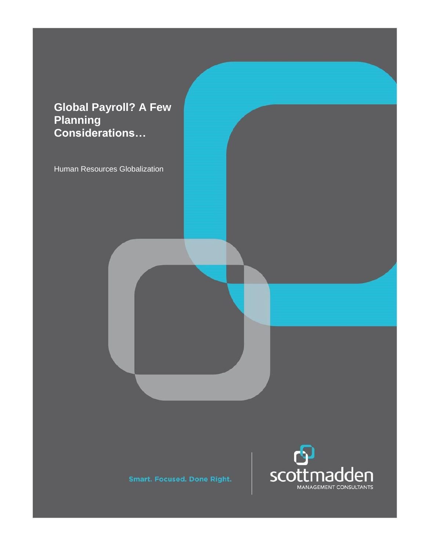# **Global Payroll? A Few Planning Considerations…**

Human Resources Globalization



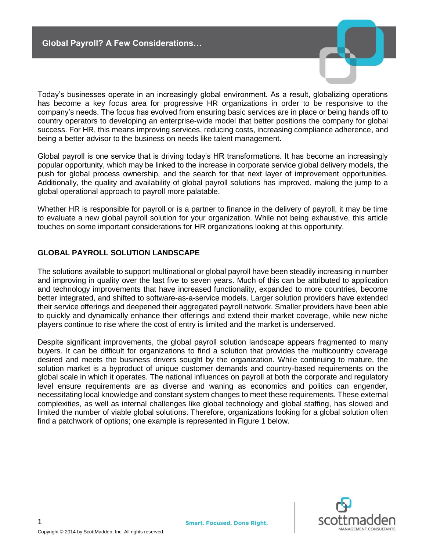

Today's businesses operate in an increasingly global environment. As a result, globalizing operations has become a key focus area for progressive HR organizations in order to be responsive to the company's needs. The focus has evolved from ensuring basic services are in place or being hands off to country operators to developing an enterprise-wide model that better positions the company for global success. For HR, this means improving services, reducing costs, increasing compliance adherence, and being a better advisor to the business on needs like talent management.

Global payroll is one service that is driving today's HR transformations. It has become an increasingly popular opportunity, which may be linked to the increase in corporate service global delivery models, the push for global process ownership, and the search for that next layer of improvement opportunities. Additionally, the quality and availability of global payroll solutions has improved, making the jump to a global operational approach to payroll more palatable.

Whether HR is responsible for payroll or is a partner to finance in the delivery of payroll, it may be time to evaluate a new global payroll solution for your organization. While not being exhaustive, this article touches on some important considerations for HR organizations looking at this opportunity.

#### **GLOBAL PAYROLL SOLUTION LANDSCAPE**

The solutions available to support multinational or global payroll have been steadily increasing in number and improving in quality over the last five to seven years. Much of this can be attributed to application and technology improvements that have increased functionality, expanded to more countries, become better integrated, and shifted to software-as-a-service models. Larger solution providers have extended their service offerings and deepened their aggregated payroll network. Smaller providers have been able to quickly and dynamically enhance their offerings and extend their market coverage, while new niche players continue to rise where the cost of entry is limited and the market is underserved.

Despite significant improvements, the global payroll solution landscape appears fragmented to many buyers. It can be difficult for organizations to find a solution that provides the multicountry coverage desired and meets the business drivers sought by the organization. While continuing to mature, the solution market is a byproduct of unique customer demands and country-based requirements on the global scale in which it operates. The national influences on payroll at both the corporate and regulatory level ensure requirements are as diverse and waning as economics and politics can engender, necessitating local knowledge and constant system changes to meet these requirements. These external complexities, as well as internal challenges like global technology and global staffing, has slowed and limited the number of viable global solutions. Therefore, organizations looking for a global solution often find a patchwork of options; one example is represented in Figure 1 below.

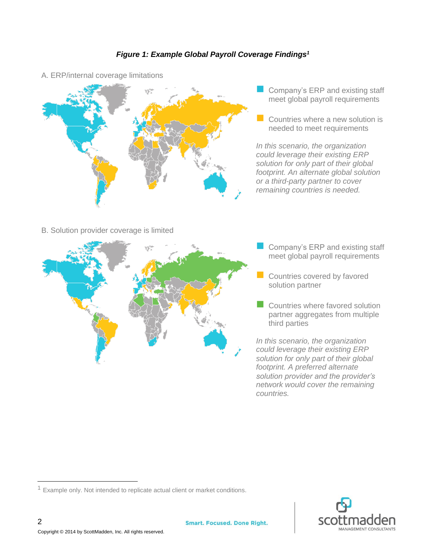### *Figure 1: Example Global Payroll Coverage Findings<sup>1</sup>*



A. ERP/internal coverage limitations

- Company's ERP and existing staff meet global payroll requirements
- $\Box$  Countries where a new solution is needed to meet requirements

*In this scenario, the organization could leverage their existing ERP solution for only part of their global footprint. An alternate global solution or a third-party partner to cover remaining countries is needed.*

#### B. Solution provider coverage is limited



- Company's ERP and existing staff meet global payroll requirements
- Countries covered by favored solution partner
- Countries where favored solution partner aggregates from multiple third parties

*In this scenario, the organization could leverage their existing ERP solution for only part of their global footprint. A preferred alternate solution provider and the provider's network would cover the remaining countries.*



 $1$  Example only. Not intended to replicate actual client or market conditions.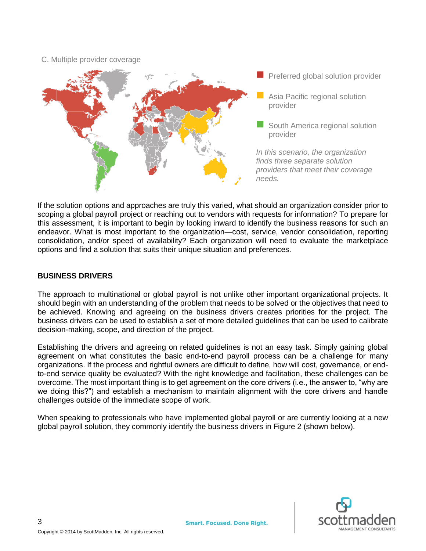#### C. Multiple provider coverage



If the solution options and approaches are truly this varied, what should an organization consider prior to scoping a global payroll project or reaching out to vendors with requests for information? To prepare for this assessment, it is important to begin by looking inward to identify the business reasons for such an endeavor. What is most important to the organization—cost, service, vendor consolidation, reporting consolidation, and/or speed of availability? Each organization will need to evaluate the marketplace options and find a solution that suits their unique situation and preferences.

#### **BUSINESS DRIVERS**

The approach to multinational or global payroll is not unlike other important organizational projects. It should begin with an understanding of the problem that needs to be solved or the objectives that need to be achieved. Knowing and agreeing on the business drivers creates priorities for the project. The business drivers can be used to establish a set of more detailed guidelines that can be used to calibrate decision-making, scope, and direction of the project.

Establishing the drivers and agreeing on related guidelines is not an easy task. Simply gaining global agreement on what constitutes the basic end-to-end payroll process can be a challenge for many organizations. If the process and rightful owners are difficult to define, how will cost, governance, or endto-end service quality be evaluated? With the right knowledge and facilitation, these challenges can be overcome. The most important thing is to get agreement on the core drivers (i.e., the answer to, "why are we doing this?") and establish a mechanism to maintain alignment with the core drivers and handle challenges outside of the immediate scope of work.

When speaking to professionals who have implemented global payroll or are currently looking at a new global payroll solution, they commonly identify the business drivers in Figure 2 (shown below).

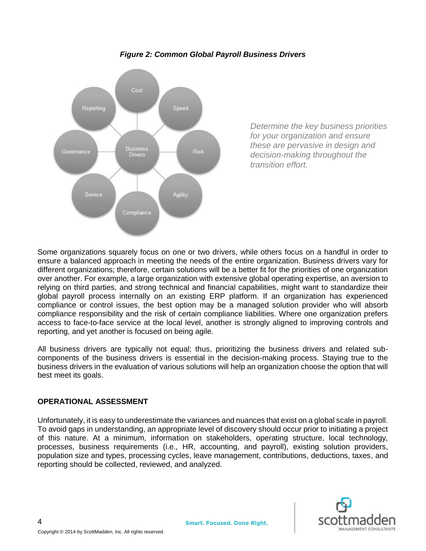

*Figure 2: Common Global Payroll Business Drivers*

*Determine the key business priorities for your organization and ensure these are pervasive in design and decision-making throughout the transition effort.*

Some organizations squarely focus on one or two drivers, while others focus on a handful in order to ensure a balanced approach in meeting the needs of the entire organization. Business drivers vary for different organizations; therefore, certain solutions will be a better fit for the priorities of one organization over another. For example, a large organization with extensive global operating expertise, an aversion to relying on third parties, and strong technical and financial capabilities, might want to standardize their global payroll process internally on an existing ERP platform. If an organization has experienced compliance or control issues, the best option may be a managed solution provider who will absorb compliance responsibility and the risk of certain compliance liabilities. Where one organization prefers access to face-to-face service at the local level, another is strongly aligned to improving controls and reporting, and yet another is focused on being agile.

All business drivers are typically not equal; thus, prioritizing the business drivers and related subcomponents of the business drivers is essential in the decision-making process. Staying true to the business drivers in the evaluation of various solutions will help an organization choose the option that will best meet its goals.

#### **OPERATIONAL ASSESSMENT**

Unfortunately, it is easy to underestimate the variances and nuances that exist on a global scale in payroll. To avoid gaps in understanding, an appropriate level of discovery should occur prior to initiating a project of this nature. At a minimum, information on stakeholders, operating structure, local technology, processes, business requirements (i.e., HR, accounting, and payroll), existing solution providers, population size and types, processing cycles, leave management, contributions, deductions, taxes, and reporting should be collected, reviewed, and analyzed.

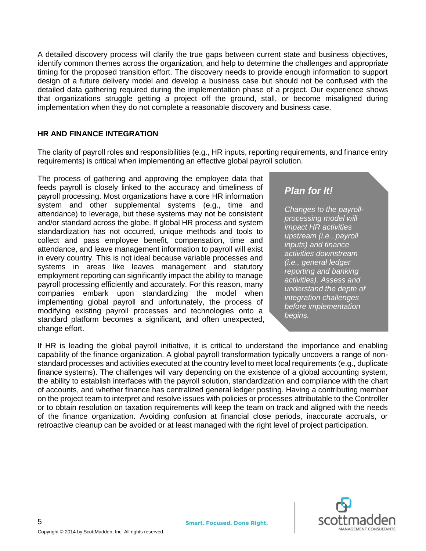A detailed discovery process will clarify the true gaps between current state and business objectives, identify common themes across the organization, and help to determine the challenges and appropriate timing for the proposed transition effort. The discovery needs to provide enough information to support design of a future delivery model and develop a business case but should not be confused with the detailed data gathering required during the implementation phase of a project. Our experience shows that organizations struggle getting a project off the ground, stall, or become misaligned during implementation when they do not complete a reasonable discovery and business case.

#### **HR AND FINANCE INTEGRATION**

The clarity of payroll roles and responsibilities (e.g., HR inputs, reporting requirements, and finance entry requirements) is critical when implementing an effective global payroll solution.

The process of gathering and approving the employee data that feeds payroll is closely linked to the accuracy and timeliness of payroll processing. Most organizations have a core HR information system and other supplemental systems (e.g., time and attendance) to leverage, but these systems may not be consistent and/or standard across the globe. If global HR process and system standardization has not occurred, unique methods and tools to collect and pass employee benefit, compensation, time and attendance, and leave management information to payroll will exist in every country. This is not ideal because variable processes and systems in areas like leaves management and statutory employment reporting can significantly impact the ability to manage payroll processing efficiently and accurately. For this reason, many companies embark upon standardizing the model when implementing global payroll and unfortunately, the process of modifying existing payroll processes and technologies onto a standard platform becomes a significant, and often unexpected, change effort.

## *Plan for It!*

*Changes to the payrollprocessing model will impact HR activities upstream (i.e., payroll inputs) and finance activities downstream (i.e., general ledger reporting and banking activities). Assess and understand the depth of integration challenges before implementation begins.* 

If HR is leading the global payroll initiative, it is critical to understand the importance and enabling capability of the finance organization. A global payroll transformation typically uncovers a range of nonstandard processes and activities executed at the country level to meet local requirements (e.g., duplicate finance systems). The challenges will vary depending on the existence of a global accounting system, the ability to establish interfaces with the payroll solution, standardization and compliance with the chart of accounts, and whether finance has centralized general ledger posting. Having a contributing member on the project team to interpret and resolve issues with policies or processes attributable to the Controller or to obtain resolution on taxation requirements will keep the team on track and aligned with the needs of the finance organization. Avoiding confusion at financial close periods, inaccurate accruals, or retroactive cleanup can be avoided or at least managed with the right level of project participation.

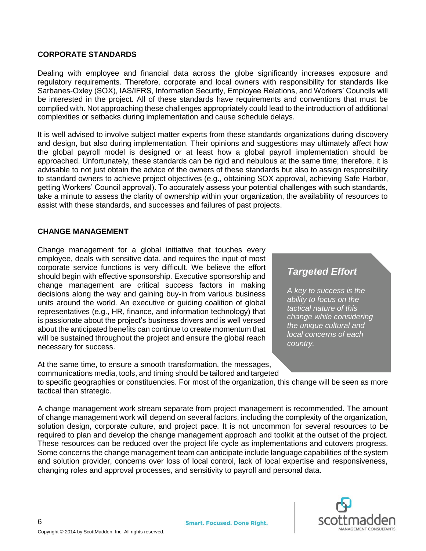#### **CORPORATE STANDARDS**

Dealing with employee and financial data across the globe significantly increases exposure and regulatory requirements. Therefore, corporate and local owners with responsibility for standards like Sarbanes-Oxley (SOX), IAS/IFRS, Information Security, Employee Relations, and Workers' Councils will be interested in the project. All of these standards have requirements and conventions that must be complied with. Not approaching these challenges appropriately could lead to the introduction of additional complexities or setbacks during implementation and cause schedule delays.

It is well advised to involve subject matter experts from these standards organizations during discovery and design, but also during implementation. Their opinions and suggestions may ultimately affect how the global payroll model is designed or at least how a global payroll implementation should be approached. Unfortunately, these standards can be rigid and nebulous at the same time; therefore, it is advisable to not just obtain the advice of the owners of these standards but also to assign responsibility to standard owners to achieve project objectives (e.g., obtaining SOX approval, achieving Safe Harbor, getting Workers' Council approval). To accurately assess your potential challenges with such standards, take a minute to assess the clarity of ownership within your organization, the availability of resources to assist with these standards, and successes and failures of past projects.

#### **CHANGE MANAGEMENT**

Change management for a global initiative that touches every employee, deals with sensitive data, and requires the input of most corporate service functions is very difficult. We believe the effort should begin with effective sponsorship. Executive sponsorship and change management are critical success factors in making decisions along the way and gaining buy-in from various business units around the world. An executive or guiding coalition of global representatives (e.g., HR, finance, and information technology) that is passionate about the project's business drivers and is well versed about the anticipated benefits can continue to create momentum that will be sustained throughout the project and ensure the global reach necessary for success.

At the same time, to ensure a smooth transformation, the messages, communications media, tools, and timing should be tailored and targeted

## *Targeted Effort*

*A key to success is the ability to focus on the tactical nature of this change while considering the unique cultural and local concerns of each country.*

to specific geographies or constituencies. For most of the organization, this change will be seen as more tactical than strategic.

A change management work stream separate from project management is recommended. The amount of change management work will depend on several factors, including the complexity of the organization, solution design, corporate culture, and project pace. It is not uncommon for several resources to be required to plan and develop the change management approach and toolkit at the outset of the project. These resources can be reduced over the project life cycle as implementations and cutovers progress. Some concerns the change management team can anticipate include language capabilities of the system and solution provider, concerns over loss of local control, lack of local expertise and responsiveness, changing roles and approval processes, and sensitivity to payroll and personal data.